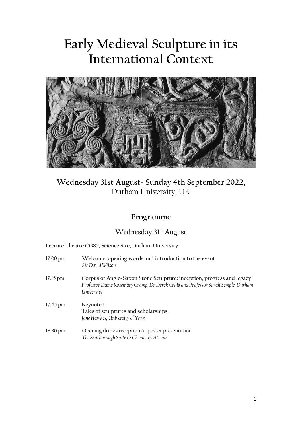# **Early Medieval Sculpture in its International Context**



## **Wednesday 31st August- Sunday 4th September 2022,** Durham University, UK

## **Programme**

## **Wednesday 31st August**

| $17.00 \text{ pm}$ | Welcome, opening words and introduction to the event<br>Sir David Wilson                                                                                                |
|--------------------|-------------------------------------------------------------------------------------------------------------------------------------------------------------------------|
| $17.15 \text{ pm}$ | Corpus of Anglo-Saxon Stone Sculpture: inception, progress and legacy<br>Professor Dame Rosemary Cramp, Dr Derek Craig and Professor Sarah Semple, Durham<br>University |
| $17.45$ pm         | Keynote 1<br>Tales of sculptures and scholarships<br>Jane Hawkes, University of York                                                                                    |
| $18.30 \text{ pm}$ | Opening drinks reception $\&$ poster presentation<br>The Scarborough Suite & Chemistry Atrium                                                                           |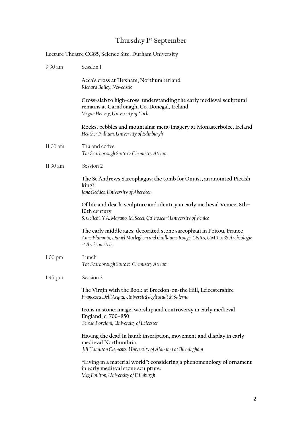## **Thursday 1st September**

|                    | Lecture Theatre CG85, Science Site, Durham University                                                                                                                    |
|--------------------|--------------------------------------------------------------------------------------------------------------------------------------------------------------------------|
| 9.30 am            | Session 1                                                                                                                                                                |
|                    | Acca's cross at Hexham, Northumberland<br>Richard Bailey, Newcastle                                                                                                      |
|                    | Cross-slab to high-cross: understanding the early medieval sculptural<br>remains at Carndonagh, Co. Donegal, Ireland<br>Megan Henvey, University of York                 |
|                    | Rocks, pebbles and mountains: meta-imagery at Monasterboice, Ireland<br>Heather Pulliam, University of Edinburgh                                                         |
| 11,00 am           | Tea and coffee<br>The Scarborough Suite & Chemistry Atrium                                                                                                               |
| 11.30 am           | Session 2                                                                                                                                                                |
|                    | The St Andrews Sarcophagus: the tomb for Onuist, an anointed Pictish<br>king?<br>Jane Geddes, University of Aberdeen                                                     |
|                    | Of life and death: sculpture and identity in early medieval Venice, 8th-<br>10th century<br>S. Gelichi, Y.A. Marano, M. Secci, Ca' Foscari University of Venice          |
|                    | The early middle ages: decorated stone sarcophagi in Poitou, France<br>Anne Flammin, Daniel Morleghem and Guillaume Rougé, CNRS, UMR 5138 Archéologie<br>et Archéométrie |
| 1.00 <sub>pm</sub> | Lunch<br>The Scarborough Suite & Chemistry Atrium                                                                                                                        |
| 1.45 pm            | Session 3                                                                                                                                                                |
|                    | The Virgin with the Book at Breedon-on-the Hill, Leicestershire<br>Francesca Dell'Acqua, Università degli studi di Salerno                                               |
|                    | Icons in stone: image, worship and controversy in early medieval<br>England, c. 700-850<br>Teresa Porciani, University of Leicester                                      |
|                    | Having the dead in hand: inscription, movement and display in early<br>medieval Northumbria<br>Jill Hamilton Clements, University of Alabama at Birmingham               |
|                    | "Living in a material world": considering a phenomenology of ornament<br>in early medieval stone sculpture.<br>Meg Boulton, University of Edinburgh                      |

2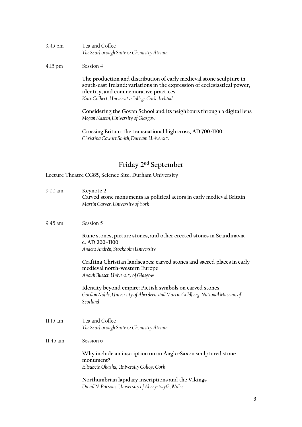| 3.45 pm | Tea and Coffee                                             |
|---------|------------------------------------------------------------|
|         | The Scarborough Suite $\circlearrowright$ Chemistry Atrium |

## 4.15 pm Session 4

**The production and distribution of early medieval stone sculpture in south-east Ireland: variations in the expression of ecclesiastical power, identity, and commemorative practices** *Kate Colbert, University College Cork, Ireland*

**Considering the Govan School and its neighbours through a digital lens** *Megan Kasten, University of Glasgow*

**Crossing Britain: the transnational high cross, AD 700-1100** *Christina Cowart Smith, Durham University*

## **Friday 2nd September**

| 9.00 am  | Keynote 2<br>Carved stone monuments as political actors in early medieval Britain<br>Martin Carver, University of York                                |
|----------|-------------------------------------------------------------------------------------------------------------------------------------------------------|
| 9.45 am  | Session 5                                                                                                                                             |
|          | Rune stones, picture stones, and other erected stones in Scandinavia<br>c. AD 200-1100<br>Anders Andrén, Stockholm University                         |
|          | Crafting Christian landscapes: carved stones and sacred places in early<br>medieval north-western Europe<br>Anouk Busset, University of Glasgow       |
|          | Identity beyond empire: Pictish symbols on carved stones<br>Gordon Noble, University of Aberdeen, and Martin Goldberg, National Museum of<br>Scotland |
| 11.15 am | Tea and Coffee<br>The Scarborough Suite & Chemistry Atrium                                                                                            |
| 11.45 am | Session 6                                                                                                                                             |
|          | Why include an inscription on an Anglo-Saxon sculptured stone<br>monument?<br>Elisabeth Okasha, University College Cork                               |
|          | Northumbrian lapidary inscriptions and the Vikings<br>David N. Parsons, University of Aberystwyth, Wales                                              |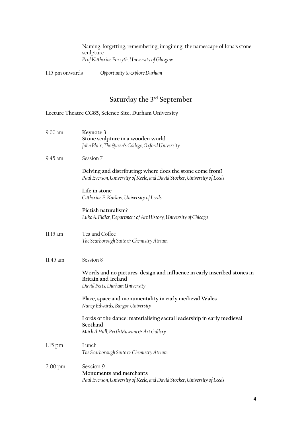Naming, forgetting, remembering, imagining: the namescape of Iona's stone sculpture *Prof Katherine Forsyth, University of Glasgow*

1.15 pm onwards *Opportunity to explore Durham*

## **Saturday the 3rd September**

| 9.00 am           | Keynote 3<br>Stone sculpture in a wooden world<br>John Blair, The Queen's College, Oxford University                                   |
|-------------------|----------------------------------------------------------------------------------------------------------------------------------------|
| 9.45 am           | Session 7                                                                                                                              |
|                   | Delving and distributing: where does the stone come from?<br>Paul Everson, University of Keele, and David Stocker, University of Leeds |
|                   | Life in stone<br>Catherine E. Karkov, University of Leeds                                                                              |
|                   | Pictish naturalism?<br>Luke A. Fidler, Department of Art History, University of Chicago                                                |
| 11.15 am          | Tea and Coffee<br>The Scarborough Suite & Chemistry Atrium                                                                             |
| 11.45 am          | Session 8                                                                                                                              |
|                   | Words and no pictures: design and influence in early inscribed stones in<br>Britain and Ireland<br>David Petts, Durham University      |
|                   | Place, space and monumentality in early medieval Wales<br>Nancy Edwards, Bangor University                                             |
|                   | Lords of the dance: materialising sacral leadership in early medieval<br>Scotland<br>Mark A Hall, Perth Museum & Art Gallery           |
| $1.15$ pm         | Lunch<br>The Scarborough Suite & Chemistry Atrium                                                                                      |
| $2.00 \text{ pm}$ | Session 9<br>Monuments and merchants<br>Paul Everson, University of Keele, and David Stocker, University of Leeds                      |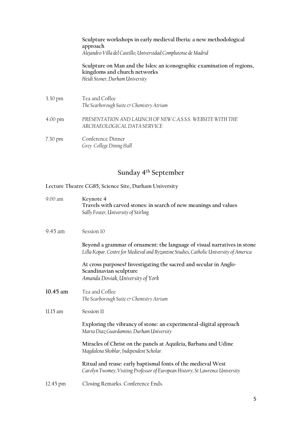|                   | Sculpture workshops in early medieval Iberia: a new methodological<br>approach<br>Alejandro Villa del Castillo, Universidad Complutense de Madrid |
|-------------------|---------------------------------------------------------------------------------------------------------------------------------------------------|
|                   | Sculpture on Man and the Isles: an iconographic examination of regions,<br>kingdoms and church networks<br>Heidi Stoner, Durham University        |
| 3.30 pm           | Tea and Coffee<br>The Scarborough Suite & Chemistry Atrium                                                                                        |
| 4.00 pm           | PRESENTATION AND LAUNCH OF NEW CASSS. WEBSITE WITH THE<br>ARCHAEOLOGICAL DATA SERVICE                                                             |
| $7.30 \text{ pm}$ | Conference Dinner<br>Grey College Dining Hall                                                                                                     |

## **Sunday 4th September**

| 9.00 am            | Keynote 4<br>Travels with carved stones: in search of new meanings and values<br>Sally Foster, University of Stirling                                              |
|--------------------|--------------------------------------------------------------------------------------------------------------------------------------------------------------------|
| 9.45 am            | Session 10                                                                                                                                                         |
|                    | Beyond a grammar of ornament: the language of visual narratives in stone<br>Lilla Kopar, Centre for Medieval and Byzantine Studies, Catholic University of America |
|                    | At cross purposes? Investigating the sacred and secular in Anglo-<br>Scandinavian sculpture<br>Amanda Doviak, University of York                                   |
| 10.45 am           | Tea and Coffee<br>The Scarborough Suite $\mathfrak{\circ}$ Chemistry Atrium                                                                                        |
| 11.15 am           | Session 11                                                                                                                                                         |
|                    | Exploring the vibrancy of stone: an experimental-digital approach<br>Marta Diaz Guardamino, Durham University                                                      |
|                    | Miracles of Christ on the panels at Aquileia, Barbana and Udine<br>Magdalena Skoblar, Independent Scholar.                                                         |
|                    | Ritual and reuse: early baptismal fonts of the medieval West<br>Carolyn Twomey, Visiting Professor of European History, St Lawrence University                     |
| $12.45 \text{ pm}$ | Closing Remarks. Conference Ends.                                                                                                                                  |
|                    |                                                                                                                                                                    |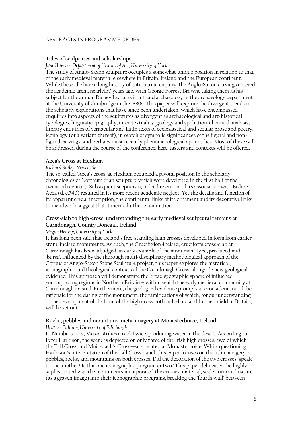## ABSTRACTS IN PROGRAMME ORDER

## **Tales of sculptures and scholarships**

*Jane Hawkes, Department of History of Art, University of York*

The study of Anglo-Saxon sculpture occupies a somewhat unique position in relation to that of the early medieval material elsewhere in Britain, Ireland and the European continent. While these all share a long history of antiquarian enquiry, the Anglo-Saxon carvings entered the academic arena nearly150 years ago, with George Forrest Browne taking them as his subject for the annual Disney Lectures in art and archaeology in the archaeology department at the University of Cambridge in the 1880s. This paper will explore the divergent trends in the scholarly explorations that have since been undertaken, which have encompassed enquiries into aspects of the sculptures as divergent as archaeological and art-historical typologies, linguistic epigraphy, inter-textuality, geology and spoliation, chemical analysis, literary enquiries of vernacular and Latin texts of ecclesiastical and secular prose and poetry, iconology (or a variant thereof), in search of symbolic significances of the figural and nonfigural carvings, and perhaps most recently phenomenological approaches. Most of these will be addressed during the course of the conference; here, tasters and contexts will be offered.

## **Acca's Cross at Hexham**

## *Richard Bailey, Newcastle*

The so-called 'Acca's cross' at Hexham occupied a pivotal position in the scholarly chronologies of Northumbrian sculpture which were developed in the first half of the twentieth century. Subsequent scepticism, indeed rejection, of its association with Bishop Acca (d. c.740) resulted in its more recent academic neglect. Yet the details and function of its apparent credal inscription, the continental links of its ornament and its decorative links to metalwork suggest that it merits further examination.

## **Cross-slab to high-cross: understanding the early medieval sculptural remains at Carndonagh, County Donegal, Ireland**

## *Megan Henvey, University of York*

It has long been said that Ireland's free-standing high crosses developed in form from earlier stone-incised monuments. As such, the Crucifixion-incised, cruciform cross-slab at Carndonagh has been adjudged an early example of the monument type, produced mid- 'burst'. Influenced by the thorough multi-disciplinary methodological approach of the Corpus of Anglo-Saxon Stone Sculpture project, this paper explores the historical, iconographic and theological contexts of the Carndonagh Cross, alongside new geological evidence. This approach will demonstrate the broad geographic sphere of influence – encompassing regions in Northern Britain – within which the early medieval community at Carndonagh existed. Furthermore, the geological evidence prompts a reconsideration of the rationale for the dating of the monument; the ramifications of which, for our understanding of the development of the form of the high cross both in Ireland and further afield in Britain, will be set out.

## **Rocks, pebbles and mountains: meta-imagery at Monasterboice, Ireland**

## *Heather Pulliam, University of Edinburgh*

In Numbers 20:9, Moses strikes a rock twice, producing water in the desert. According to Peter Harbison, the scene is depicted on only three of the Irish high crosses, two of which the Tall Cross and Muiredach's Cross—are located at Monasterboice. While questioning Harbison's interpretation of the Tall Cross panel, this paper focuses on the lithic imagery of pebbles, rocks, and mountains on both crosses. Did the decoration of the two crosses 'speak' to one another? Is this one iconographic program or two? This paper delineates the highly sophisticated way the monuments incorporated the crosses' material, scale, form and nature (as a graven image) into their iconographic programs, breaking the 'fourth wall' between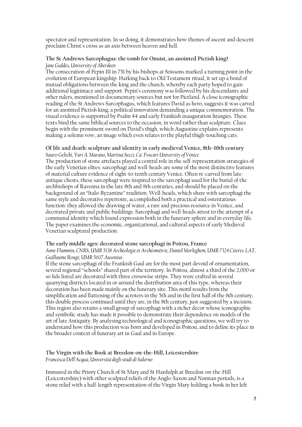spectator and representation. In so doing, it demonstrates how themes of ascent and descent proclaim Christ's cross as an axis between heaven and hell.

## **The St Andrews Sarcophagus: the tomb for Onuist, an anointed Pictish king?**  *Jane Geddes, University of Aberdeen*

The consecration of Pepin III in 751 by his bishops at Soissons marked a turning point in the evolution of European kingship. Harking back to Old Testament ritual, it set up a bond of mutual obligations between the king and the church, whereby each party hoped to gain additional legitimacy and support. Pepin's ceremony was followed by his descendants and other rulers, mentioned in documentary sources but not for Pictland. A close iconographic reading of the St Andrews Sarcophagus, which features David as hero, suggests it was carved for an anointed Pictish king; a political innovation demanding a unique commemoration. The visual evidence is supported by Psalm 44 and early Frankish inauguration liturgies. These texts bind the same biblical sources to the occasion, in word rather than sculpture. Clues begin with the prominent sword on David's thigh, which Augustine explains represents making a solemn vow, an image which even relates to the playful thigh-touching cats.

## **Of life and death: sculpture and identity in early medieval Venice, 8th–10th century** *Sauro Gelichi, Yuri A. Marano, Martina Secci, Ca' Foscari University of Venice*

The production of stone artefacts played a central role in the self-representation strategies of the early Venetian elites: sarcophagi and well-heads are some of the most distinctive features of material culture evidence of eight-to-tenth century Venice. Often re-carved from lateantique chests, these sarcophagi were inspired to the sarcophagi used for the burial of the archbishops of Ravenna in the late 8th and 9th centuries, and should be placed on the background of an "Italo-Byzantine" tradition. Well-heads, which share with sarcophagi the same style and decorative repertoire, accomplished both a practical and ostentatious function: they allowed the drawing of water, a rare and precious resource in Venice, and decorated private and public buildings. Sarcophagi and well-heads attest to the attempt of a communal identity which found expression both in the funerary sphere and in everyday life. The paper examines the economic, organizational, and cultural aspects of early Medieval Venetian sculptural production.

## **The early middle ages: decorated stone sarcophagi in Poitou, France**

*Anne Flammin, CNRS, UMR 5138 Archéologie et Archéométrie, Daniel Morleghem, UMR 7324 Citeres-LAT, Guillaume Rougé, UMR 5607 Ausonius*

If the stone sarcophagi of the Frankish Gaul are for the most part devoid of ornamentation, several regional "schools" shared part of the territory. In Poitou, almost a third of the 2,000 or so lids listed are decorated with three crosswise strips. They were crafted in several quarrying districts located in or around the distribution area of this type, whereas their decoration has been made mainly on the funerary site. This motif results from the simplification and flattening of the acroters in the 5th and in the first half of the 6th century; this double process continued until they are, in the 8th century, just suggested by a incision. This region also retains a small group of sarcophagi with a richer decor whose iconographic and symbolic study has made it possible to demonstrate their dependence on models of the art of late Antiquity. By analysing technological and iconographic questions, we will try to understand how this production was born and developed in Poitou, and to define its place in the broader context of funerary art in Gaul and in Europe.

## **The Virgin with the Book at Breedon-on-the-Hill, Leicestershire** *Francesca Dell'Acqua, Università degli studi di Salerno*

Immured in the Priory Church of St Mary and St Hardulph at Breedon-on-the-Hill (Leicestershire) with other sculpted reliefs of the Anglo-Saxon and Norman periods, is a stone relief with a half-length representation of the Virgin Mary holding a book in her left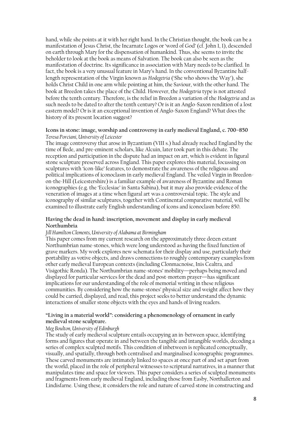hand, while she points at it with her right hand. In the Christian thought, the book can be a manifestation of Jesus Christ, the Incarnate Logos or 'word of God' (cf. John 1, 1), descended on earth through Mary for the dispensation of humankind. Thus, she seems to invite the beholder to look at the book as means of Salvation. The book can also be seen as the manifestation of doctrine. Its significance in association with Mary needs to be clarified. In fact, the book is a very unusual feature in Mary's hand. In the conventional Byzantine halflength representation of the Virgin known as *Hodegetria* ('She who shows the Way'), she holds Christ Child in one arm while pointing at him, the Saviour, with the other hand. The book at Breedon takes the place of the Child. However, the *Hodegetria* type is not attested before the tenth century. Therefore, is the relief in Breedon a variation of the *Hodegetria* and as such needs to be dated to after the tenth century? Or is it an Anglo-Saxon rendition of a lost eastern model? Or is it an exceptional invention of Anglo-Saxon England? What does the history of its present location suggest?

## **Icons in stone: image, worship and controversy in early medieval England, c. 700–850** *Teresa Porciani, University of Leicester*

The image controversy that arose in Byzantium (VIII s.) had already reached England by the time of Bede, and pre-eminent scholars, like Alcuin, later took part in this debate. The reception and participation in the dispute had an impact on art, which is evident in figural stone sculpture preserved across England. This paper explores this material, focussing on sculptures with 'icon-like' features, to demonstrate the awareness of the religious and political implications of iconoclasm in early medieval England. The veiled Virgin in Breedonon-the-Hill (Leicestershire) is a familiar example of awareness of Byzantine and Roman iconographies (e.g. the 'Ecclesiae' in Santa Sabina), but it may also provide evidence of the veneration of images at a time when figural art was a controversial topic. The style and iconography of similar sculptures, together with Continental comparative material, will be examined to illustrate early English understanding of icons and iconoclasm before 850.

## **Having the dead in hand: inscription, movement and display in early medieval Northumbria**

## *Jill Hamilton Clements, University of Alabama at Birmingham*

This paper comes from my current research on the approximately three dozen extant Northumbrian name-stones, which were long understood as having the fixed function of grave markers. My work explores new schemata for their display and use, particularly their portability as votive objects, and draws connections to roughly contemporary examples from other early medieval European contexts (including Clonmacnoise, Inis Cealtra, and Visigothic Ronda). The Northumbrian name-stones' mobility—perhaps being moved and displayed for particular services for the dead and post-mortem prayer—has significant implications for our understanding of the role of memorial writing in these religious communities. By considering how the name-stones' physical size and weight affect how they could be carried, displayed, and read, this project seeks to better understand the dynamic interactions of smaller stone objects with the eyes and hands of living readers.

## **"Living in a material world": considering a phenomenology of ornament in early medieval stone sculpture.**

## *Meg Boulton, University of Edinburgh*

The study of early medieval sculpture entails occupying an in-between space, identifying forms and figures that operate in and between the tangible and intangible worlds, decoding a series of complex sculpted motifs. This condition of inbetween is replicated conceptually, visually, and spatially, through both centralised and marginalised iconographic programmes. These carved monuments are intimately linked to spaces at once part of and set apart from the world, placed in the role of peripheral witnesses to scriptural narratives, in a manner that manipulates time and space for viewers. This paper considers a series of sculpted monuments and fragments from early medieval England, including those from Easby, Northallerton and Lindisfarne. Using these, it considers the role and nature of carved stone in constructing and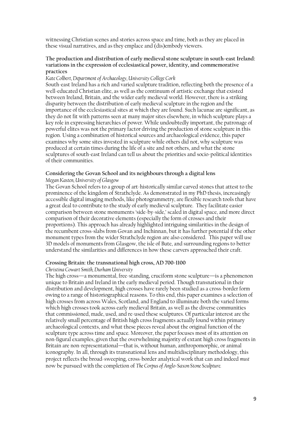witnessing Christian scenes and stories across space and time, both as they are placed in these visual narratives, and as they emplace and  $\bar{d}$  (dis)embody viewers.

## **The production and distribution of early medieval stone sculpture in south-east Ireland: variations in the expression of ecclesiastical power, identity, and commemorative practices**

## *Kate Colbert, Department of Archaeology, University College Cork*

South-east Ireland has a rich and varied sculpture tradition, reflecting both the presence of a well-educated Christian elite, as well as the continuum of artistic exchange that existed between Ireland, Britain, and the wider early medieval world. However, there is a striking disparity between the distribution of early medieval sculpture in the region and the importance of the ecclesiastical sites at which they are found. Such lacunae are significant, as they do not fit with patterns seen at many major sites elsewhere, in which sculpture plays a key role in expressing hierarchies of power. While undoubtedly important, the patronage of powerful elites was not the primary factor driving the production of stone sculpture in this region. Using a combination of historical sources and archaeological evidence, this paper examines why some sites invested in sculpture while others did not, why sculpture was produced at certain times during the life of a site and not others, and what the stone sculptures of south-east Ireland can tell us about the priorities and socio-political identities of their communities.

## **Considering the Govan School and its neighbours through a digital lens**

## *Megan Kasten, University of Glasgow*

The Govan School refers to a group of art-historically similar carved stones that attest to the prominence of the kingdom of Strathclyde. As demonstrated in my PhD thesis, increasingly accessible digital imaging methods, like photogrammetry, are flexible research tools that have a great deal to contribute to the study of early medieval sculpture. They facilitate easier comparison between stone monuments 'side-by-side,' scaled in digital space, and more direct comparison of their decorative elements (especially the form of crosses and their proportions). This approach has already highlighted intriguing similarities in the design of the recumbent cross-slabs from Govan and Inchinnan, but it has further potential if the other monument types from the wider Strathclyde region are also considered. This paper will use 3D models of monuments from Glasgow, the isle of Bute, and surrounding regions to better understand the similarities and differences in how these carvers approached their craft.

## **Crossing Britain: the transnational high cross, AD 700-1100**

## *Christina Cowart Smith, Durham University*

The high cross—a monumental, free-standing, cruciform stone sculpture—is a phenomenon unique to Britain and Ireland in the early medieval period. Though transnational in their distribution and development, high crosses have rarely been studied as a cross-border form owing to a range of historiographical reasons. To this end, this paper examines a selection of high crosses from across Wales, Scotland, and England to illuminate both the varied forms which high crosses took across early medieval Britain, as well as the diverse communities that commissioned, made, used, and re-used these sculptures. Of particular interest are the relatively small percentage of British high cross fragments actually found within primary archaeological contexts, and what these pieces reveal about the original function of the sculpture type across time and space. Moreover, the paper focuses most of its attention on non-figural examples, given that the overwhelming majority of extant high cross fragments in Britain are non-representational—that is, without human, anthropomorphic, or animal iconography. In all, through its transnational lens and multidisciplinary methodology, this project reflects the broad-sweeping, cross-border analytical work that can and indeed *must*  now be pursued with the completion of *The Corpus of Anglo-Saxon Stone Sculpture.*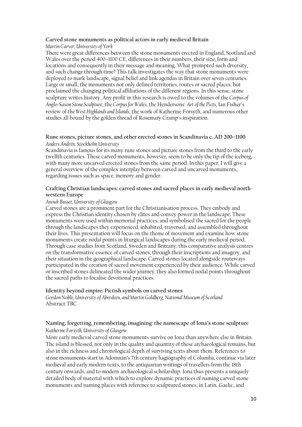## **Carved stone monuments as political actors in early medieval Britain**  *Martin Carver, University of York*

There were great differences between the stone monuments erected in England, Scotland and Wales over the period 400–1100 CE, differences in their numbers, their size, form and locations and consequently in their message and meaning. What prompted such diversity, and such change through time? This talk investigates the way that stone monuments were deployed to mark landscape, signal belief and link agendas in Britain over seven centuries. Large or small, the monuments not only defined territories, routes or sacred places, but proclaimed the changing political affiliations of the different regions. In this sense, stone sculpture writes history. Any profit in this research is owed to the volumes of the *Corpus of Anglo-Saxon Stone Sculpture*, the *Corpus for Wales*, the Hendersons' *Art of the Picts*, Ian Fisher's review of the *West Highlands and Islands*, the work of Katherine Forsyth, and numerous other studies all bound by the golden thread of Rosemary Cramp's inspiration.

## **Rune stones, picture stones, and other erected stones in Scandinavia c. AD 200–1100**  *Anders Andrén, Stockholm University*

Scandinavia is famous for its many rune stones and picture stones from the third to the early twelfth centuries. These carved monuments, however, seem to be only the tip of the iceberg, with many more uncarved erected stones from the same period. In this paper, I will give a general overview of the complex interplay between carved and uncarved monuments, regarding issues such as space, memory and gender.

## **Crafting Christian landscapes: carved stones and sacred places in early medieval northwestern Europe**

## *Anouk Busset, University of Glasgow*

Carved stones are a prominent part for the Christianisation process. They embody and express the Christian identity chosen by elites and convey power in the landscape. These monuments were used within memorial practices, and symbolised the sacred for the people through the landscapes they experienced, inhabited, traversed, and assembled throughout their lives. This presentation will focus on the theme of movement and examine how stone monuments create nodal points in liturgical landscapes during the early medieval period. Through case studies from Scotland, Sweden and Brittany, this comparative analysis centres on the transformative essence of carved stones, through their inscriptions and imagery, and their situation in the geographical landscape. Carved stones located alongside routeways participated in the creation of sacred movement experienced by their audience. While carved or inscribed stones delineated the wider journey, they also formed nodal points throughout the sacred paths to focalise devotional practices.

## **Identity beyond empire: Pictish symbols on carved stones**

*Gordon Noble, University of Aberdeen, and Martin Goldberg, National Museum of Scotland* Abstract TBC

## **Naming, forgetting, remembering, imagining: the namescape of Iona's stone sculpture** *Katherine Forsyth, University of Glasgow*

More early medieval carved stone monuments survive on Iona than anywhere else in Britain. The island is blessed, not only in the quality and quantity of these archaeological remains, but also in the richness and chronological depth of surviving texts about them. References to stone monuments start in Adomnán's 7th century hagiography of Columba, continue via later medieval and early modern texts, to the antiquarian writings of travellers from the 18th century onwards, and to modern archaeological scholarship. Iona thus presents a uniquely detailed body of material with which to explore dynamic practices of naming carved stone monuments and naming places with reference to sculptured stones, in Latin, Gaelic, and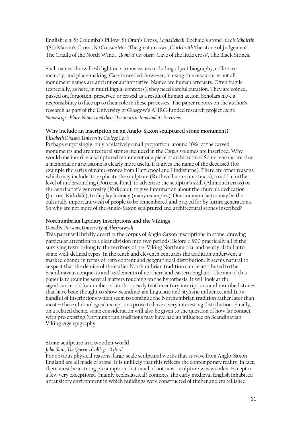English: e.g. St Columba's Pillow, St Oran's Cross, *Lapis Echodi* 'Eochaid's stone', *Crois Mhairtin '*(St) Martin's Cross', *Na Crossan Mòr* 'The great crosses, *Clach bràth* 'the stone of Judgement', The Cradle of the North Wind, *Uamh a' Chroisein* 'Cave of the little cross', The Black Stones.

Such names throw fresh light on various issues including object biography, collective memory, and place-making. Care is needed, however, in using this resource as not all monument names are ancient or authoritative. Names are human artefacts. Often fragile (especially, as here, in multilingual contexts), they need careful curation. They are coined, passed on, forgotten, preserved or erased as a result of human action. Scholars have a responsibility to face up to their role in these processes. The paper reports on the author's research as part of the University of Glasgow's AHRC-funded research project*Iona's Namescape: Place-Names and their Dynamics in Iona and its Environs*

## **Why include an inscription on an Anglo-Saxon sculptured stone monument?**

*Elisabeth Okasha, University College Cork*

Perhaps surprisingly, only a relatively small proportion, around 10%, of the carved monuments and architectural stones included in the *Corpus* volumes are inscribed. Why would one inscribe a sculptured monument or a piece of architecture? Some reasons are clear: a memorial or gravestone is clearly more useful if it gives the name of the deceased (for example the series of name-stones from Hartlepool and Lindisfarne). There are other reasons which may include: to explicate the sculpture (Ruthwell non-runic texts); to add a further level of understanding (Potterne font); to advertise the sculptor's skill (Alnmouth cross) or the benefactor's generosity (Kirkdale); to give information about the church's dedication (Jarrow, Kirkdale); to display literacy (many examples). One common factor may be the culturally important wish of people to be remembered and prayed for by future generations. So why are not more of the Anglo-Saxon sculptured and architectural stones inscribed?

## **Northumbrian lapidary inscriptions and the Vikings**

## *David N. Parsons, University of Aberystwyth*

This paper will briefly describe the corpus of Anglo-Saxon inscriptions in stone, drawing particular attention to a clear division into two periods. Before *c*. 900 practically all of the surviving texts belong to the territory of pre-Viking Northumbria, and nearly all fall into some well-defined types. In the tenth and eleventh centuries the tradition underwent a marked change in terms of both content and geographical distribution. It seems natural to suspect that the demise of the earlier Northumbrian tradition can be attributed to the Scandinavian conquests and settlements of northern and eastern England. The aim of this paper is to examine several matters touching on the hypothesis. It will look at the significance of (i) a number of ninth- or early tenth-century inscriptions and inscribed stones that have been thought to show Scandinavian linguistic and stylistic influence, and (ii) a handful of inscriptions which seem to continue the Northumbrian tradition rather later than most – these chronological exceptions prove to have a very interesting distribution. Finally, on a related theme, some consideration will also be given to the question of how far contact with pre-existing Northumbrian traditions may have had an influence on Scandinavian Viking-Age epigraphy.

## **Stone sculpture in a wooden world**

## *John Blair, The Queen's Colllege, Oxford*

For obvious physical reasons, large-scale sculptural works that survive from Anglo-Saxon England are all made of stone. It is unlikely that this reflects the contemporary reality; in fact, there must be a strong presumption that much if not most sculpture was wooden. Except in a few very exceptional (mainly ecclesiastical) contexts, the early medieval English inhabited a transitory environment in which buildings were constructed of timber and embellished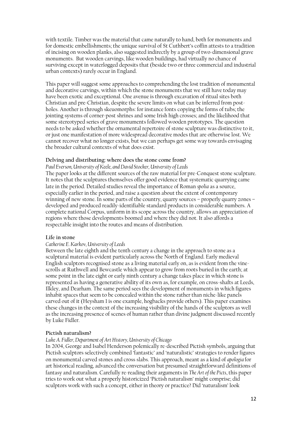with textile. Timber was the material that came naturally to hand, both for monuments and for domestic embellishments; the unique survival of St Cuthbert's coffin attests to a tradition of incising on wooden planks, also suggested indirectly by a group of two-dimensional grave monuments. But wooden carvings, like wooden buildings, had virtually no chance of surviving except in waterlogged deposits that (beside two or three commercial and industrial urban contexts) rarely occur in England.

This paper will suggest some approaches to comprehending the lost tradition of monumental and decorative carvings, within which the stone monuments that we still have today may have been exotic and exceptional. One avenue is through excavation of ritual sites both Christian and pre-Christian, despite the severe limits on what can be inferred from postholes. Another is through skeuomorphs: for instance fonts copying the forms of tubs; the jointing systems of corner-post shrines and some Irish high crosses; and the likelihood that some stereotyped series of grave monuments followed wooden prototypes. The question needs to be asked whether the ornamental repertoire of stone sculpture was distinctive to it, or just one manifestation of more widespread decorative modes that are otherwise lost. We cannot recover what no longer exists, but we can perhaps get some way towards envisaging the broader cultural contexts of what does exist.

## **Delving and distributing: where does the stone come from?**

*Paul Everson, University of Keele, and David Stocker, University of Leeds*

The paper looks at the different sources of the raw material for pre-Conquest stone sculpture. It notes that the sculptures themselves offer good evidence that systematic quarrying came late in the period. Detailed studies reveal the importance of Roman *spolia* as a source, especially earlier in the period, and raise a question about the extent of contemporary winning of new stone. In some parts of the country, quarry sources – properly quarry zones – developed and produced readily-identifiable standard products in considerable numbers. A complete national Corpus, uniform in its scope across the country, allows an appreciation of regions where those developments boomed and where they did not. It also affords a respectable insight into the routes and means of distribution.

## **Life in stone**

## *Catherine E. Karkov, University of Leeds*

Between the late eighth and the tenth century a change in the approach to stone as a sculptural material is evident particularly across the North of England. Early medieval English sculptors recognised stone as a living material early on, as is evident from the vinescrolls at Ruthwell and Bewcastle which appear to grow from roots buried in the earth; at some point in the late eight or early ninth century a change takes place in which stone is represented as having a generative ability of its own as, for example, on cross-shafts at Leeds, Ilkley, and Dearham. The same period sees the development of monuments in which figures inhabit spaces that seem to be concealed within the stone rather than niche-like panels carved out of it (Heysham 1 is one example, hogbacks provide others). This paper examines these changes in the context of the increasing visibility of the hands of the sculptors as well as the increasing presence of scenes of human rather than divine judgment discussed recently by Luke Fidler.

## **Pictish naturalism?**

## *Luke A. Fidler, Department of Art History, University of Chicago*

In 2004, George and Isabel Henderson polemically re-described Pictish symbols, arguing that Pictish sculptors selectively combined 'fantastic' and 'naturalistic' strategies to render figures on monumental carved stones and cross slabs. This approach, meant as a kind of *apologia* for art historical reading, advanced the conversation but presumed straightforward definitions of fantasy and naturalism. Carefully re-reading their arguments in *The Art of the Picts*, this paper tries to work out what a properly historicized 'Pictish naturalism' might comprise; did sculptors work with such a concept, either in theory or practice? Did 'naturalism' look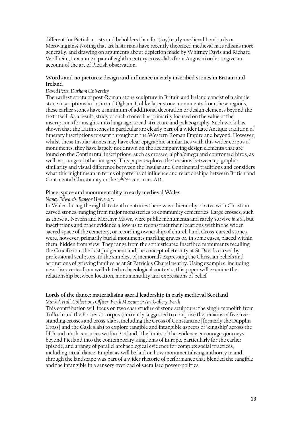different for Pictish artists and beholders than for (say) early-medieval Lombards or Merovingians? Noting that art historians have recently theorized medieval naturalisms more generally, and drawing on arguments about depiction made by Whitney Davis and Richard Wollheim, I examine a pair of eighth-century cross slabs from Angus in order to give an account of the art of Pictish observation.

## **Words and no pictures: design and influence in early inscribed stones in Britain and Ireland**

## *David Petts, Durham University*

The earliest strata of post-Roman stone sculpture in Britain and Ireland consist of a simple stone inscriptions in Latin and Ogham. Unlike later stone monuments from these regions, these earlier stones have a minimum of additional decoration or design elements beyond the text itself. As a result, study of such stones has primarily focused on the value of the inscriptions for insights into language, social structure and palaeography. Such work has shown that the Latin stones in particular are clearly part of a wider Late Antique tradition of funerary inscriptions present throughout the Western Roman Empire and beyond. However, whilst these Insular stones may have clear epigraphic similarities with this wider corpus of monuments, they have largely not drawn on the accompanying design elements that are found on the Continental inscriptions, such as crosses, alpha/omega and confronted birds, as well as a range of other imagery. This paper explores the tensions between epigraphic similarity and visual difference between the Insular and Continental traditions and considers what this might mean in terms of patterns of influence and relationships between British and Continental Christianity in the 5th/6th centuries AD.

## **Place, space and monumentality in early medieval Wales**

## *Nancy Edwards, Bangor University*

In Wales during the eighth to tenth centuries there was a hierarchy of sites with Christian carved stones, ranging from major monasteries to community cemeteries. Large crosses, such as those at Nevern and Merthyr Mawr, were public monuments and rarely survive *in situ*, but inscriptions and other evidence allow us to reconstruct their locations within the wider sacred space of the cemetery, or recording ownership of church land. Cross-carved stones were, however, primarily burial monuments marking graves or, in some cases, placed within them, hidden from view. They range from the sophisticated inscribed monuments recalling the Crucifixion, the Last Judgement and the concept of eternity at St Davids carved by professional sculptors, to the simplest of memorials expressing the Christian beliefs and aspirations of grieving families as at St Patrick's Chapel nearby. Using examples, including new discoveries from well-dated archaeological contexts, this paper will examine the relationship between location, monumentality and expressions of belief

## **Lords of the dance: materialising sacral leadership in early medieval Scotland**

*Mark A Hall, Collections Officer, Perth Museum & Art Gallery, Perth*

This contribution will focus on two case studies of stone sculpture: the single monolith from Tulloch and the Forteviot corpus (currently suggested to comprise the remains of five freestanding crosses and cross-slabs, including the Cross of Constantine [formerly the Dupplin Cross] and the Gask slab) to explore tangible and intangible aspects of 'kingship' across the fifth and ninth centuries within Pictland. The limits of the evidence encourages journeys beyond Pictland into the contemporary kingdoms of Europe, particularly for the earlier episode, and a range of parallel archaeological evidence for complex social practices, including ritual dance. Emphasis will be laid on how monumentalising authority in and through the landscape was part of a wider rhetoric of performance that blended the tangible and the intangible in a sensory overload of sacralised power-politics.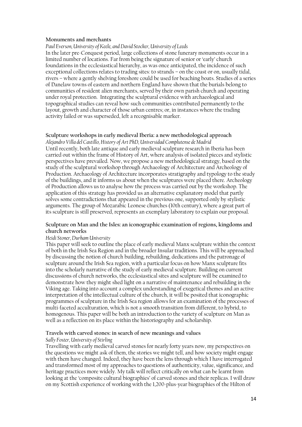## **Monuments and merchants**

*Paul Everson, University of Keele, and David Stocker, University of Leeds*

In the later pre-Conquest period, large collections of stone funerary monuments occur in a limited number of locations. Far from being the signature of senior or 'early' church foundations in the ecclesiastical hierarchy, as was once anticipated, the incidence of such exceptional collections relates to trading sites: to strands – on the coast or on, usually tidal, rivers – where a gently shelving foreshore could be used for beaching boats. Studies of a series of Danelaw towns of eastern and northern England have shown that the burials belong to communities of resident alien merchants, served by their own parish church and operating under royal protection. Integrating the sculptural evidence with archaeological and topographical studies can reveal how such communities contributed permanently to the layout, growth and character of those urban centres; or, in instances where the trading activity failed or was superseded, left a recognisable marker.

## **Sculpture workshops in early medieval Iberia: a new methodological approach**

*Alejandro Villa del Castillo, History of Art PhD, Universidad Complutense de Madrid*  Until recently, both late antique and early medieval sculpture research in Iberia has been carried out within the frame of History of Art, where analysis of isolated pieces and stylistic perspectives have prevailed. Now, we propose a new methodological strategy, based on the study of the sculptural workshop through Archaeology of Architecture and Archeology of Production. Archaeology of Architecture incorporates stratigraphy and typology to the study of the buildings, and it informs us about when the sculptures were placed there. Archeology of Production allows us to analyse how the process was carried out by the workshop. The application of this strategy has provided us an alternative explanatory model that partly solves some contradictions that appeared in the previous one, supported only by stylistic arguments. The group of Mozarabic Leonese churches (10th century), where a great part of its sculpture is still preserved, represents an exemplary laboratory to explain our proposal.

## **Sculpture on Man and the Isles: an iconographic examination of regions, kingdoms and church networks**

## *Heidi Stoner, Durham University*

This paper will seek to outline the place of early medieval Manx sculpture within the context of both in the Irish Sea Region and in the broader Insular traditions. This will be approached by discussing the notion of church building, rebuilding, dedications and the patronage of sculpture around the Irish Sea region, with a particular focus on how Manx sculpture fits into the scholarly narrative of the study of early medieval sculpture. Building on current discussions of church networks, the ecclesiastical sites and sculpture will be examined to demonstrate how they might shed light on a narrative of maintenance and rebuilding in the Viking age. Taking into account a complex understanding of exegetical themes and an active interpretation of the intellectual culture of the church, it will be posited that iconographic programmes of sculpture in the Irish Sea region allows for an examination of the processes of multi-faceted acculturation, which is not a smooth transition from different, to hybrid, to homogenous. This paper will be both an introduction to the variety of sculpture on Man as well as a reflection on its place within the historiography and scholarship.

## **Travels with carved stones: in search of new meanings and values**

## *Sally Foster, University of Stirling*

Travelling with early medieval carved stones for nearly forty years now, my perspectives on the questions we might ask of them, the stories we might tell, and how society might engage with them have changed. Indeed, they have been the lens through which I have interrogated and transformed most of my approaches to questions of authenticity, value, significance, and heritage practices more widely. My talk will reflect critically on what can be learnt from looking at the 'composite cultural biographies' of carved stones and their replicas. I will draw on my Scottish experience of working with the 1,200-plus-year biographies of the Hilton of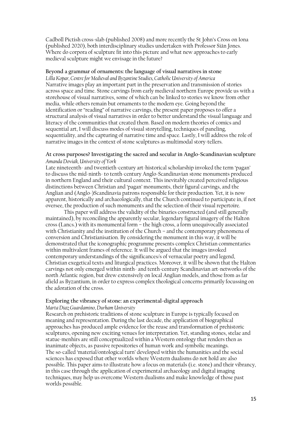Cadboll Pictish cross-slab (published 2008) and more recently the St John's Cross on Iona (published 2020), both interdisciplinary studies undertaken with Professor Siân Jones. Where do corpora of sculpture fit into this picture and what new approaches to early medieval sculpture might we envisage in the future?

## **Beyond a grammar of ornaments: the language of visual narratives in stone**

*Lilla Kopar, Centre for Medieval and Byzantine Studies, Catholic University of America* Narrative images play an important part in the preservation and transmission of stories across space and time. Stone carvings from early medieval northern Europe provide us with a storehouse of visual narratives, some of which can be linked to stories we know from other media, while others remain but ornaments to the modern eye. Going beyond the identification or "reading" of narrative carvings, the present paper proposes to offer a structural analysis of visual narratives in order to better understand the visual language and literacy of the communities that created them. Based on modern theories of comics and sequential art, I will discuss modes of visual storytelling, techniques of paneling, sequentiality, and the capturing of narrative time and space. Lastly, I will address the role of narrative images in the context of stone sculptures as multimodal story-tellers.

## **At cross purposes? Investigating the sacred and secular in Anglo-Scandinavian sculpture** *Amanda Doviak, University of York*

Late nineteenth- and twentieth-century art-historical scholarship invoked the term 'pagan' to discuss the mid-ninth- to tenth-century Anglo-Scandinavian stone monuments produced in northern England and their cultural context. This inevitably created perceived religious distinctions between Christian and 'pagan' monuments, their figural carvings, and the Anglian and (Anglo-)Scandinavia patrons responsible for their production. Yet, it is now apparent, historically and archaeologically, that the Church continued to participate in, if not oversee, the production of such monuments and the selection of their visual repertoire.

This paper will address the validity of the binaries constructed (and still generally maintained), by reconciling the apparently secular, legendary figural imagery of the Halton cross (Lancs.) with its monumental form – the high cross, a form unequivocally associated with Christianity and the institution of the Church – and the contemporary phenomena of conversion and Christianisation. By considering the monument in this way, it will be demonstrated that the iconographic programme presents complex Christian commentaries within multivalent frames of reference. It will be argued that the images invoked contemporary understandings of the significances/s of vernacular poetry and legend, Christian exegetical texts and liturgical practices. Moreover, it will be shown that the Halton carvings not only emerged within ninth- and tenth-century Scandinavian art-networks of the north Atlantic region, but drew extensively on local Anglian models, and those from as far afield as Byzantium, in order to express complex theological concerns primarily focussing on the adoration of the cross.

## **Exploring the vibrancy of stone: an experimental-digital approach**

## *Marta Diaz Guardamino, Durham University*

Research on prehistoric traditions of stone sculpture in Europe is typically focused on meaning and representation. During the last decade, the application of biographical approaches has produced ample evidence for the reuse and transformation of prehistoric sculptures, opening new exciting venues for interpretation. Yet, standing stones, stelae and statue-menhirs are still conceptualized within a Western ontology that renders then as inanimate objects, as passive repositories of human work and symbolic meanings. The so-called 'material/ontological turn' developed within the humanities and the social sciences has exposed that other worlds where Western dualisms do not hold are also possible. This paper aims to illustrate how a focus on materials (i.e. stone) and their vibrancy, in this case through the application of experimental archaeology and digital imaging techniques, may help us overcome Western dualisms and make knowledge of those past worlds possible.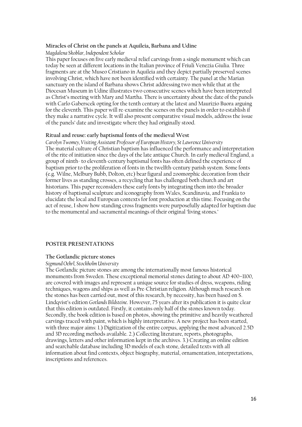#### **Miracles of Christ on the panels at Aquileia, Barbana and Udine**

*Magdalena Skoblar, Independent Scholar*

This paper focuses on five early medieval relief carvings from a single monument which can today be seen at different locations in the Italian province of Friuli Venezia Giulia. Three fragments are at the Museo Cristiano in Aquileia and they depict partially preserved scenes involving Christ, which have not been identified with certainty. The panel at the Marian sanctuary on the island of Barbana shows Christ addressing two men while that at the Diocesan Museum in Udine illustrates two consecutive scenes which have been interpreted as Christ's meeting with Mary and Martha. There is uncertainty about the date of the panels with Carlo Gaberscek opting for the tenth century at the latest and Maurizio Buora arguing for the eleventh. This paper will re-examine the scenes on the panels in order to establish if they make a narrative cycle. It will also present comparative visual models, address the issue of the panels' date and investigate where they had originally stood.

#### **Ritual and reuse: early baptismal fonts of the medieval West**

*Carolyn Twomey, Visiting Assistant Professor of European History, St Lawrence University* The material culture of Christian baptism has influenced the performance and interpretation of the rite of initiation since the days of the late antique Church. In early medieval England, a group of ninth- to eleventh-century baptismal fonts has often defined the experience of baptism prior to the proliferation of fonts in the twelfth-century parish system. Some fonts (e.g. Wilne, Melbury Bubb, Dolton, etc) bear figural and zoomorphic decoration from their former lives as standing crosses, a recycling that has challenged both church and art historians. This paper reconsiders these early fonts by integrating them into the broader history of baptismal sculpture and iconography from Wales, Scandinavia, and Frankia to elucidate the local and European contexts for font production at this time. Focusing on the act of reuse, I show how standing cross fragments were purposefully adapted for baptism due to the monumental and sacramental meanings of their original 'living stones.'

## **POSTER PRESENTATIONS**

## **The Gotlandic picture stones**

## *Sigmund Oehrl, Stockholm University*

The Gotlandic picture stones are among the internationally most famous historical monuments from Sweden. These exceptional memorial stones dating to about AD 400–1100, are covered with images and represent a unique source for studies of dress, weapons, riding techniques, wagons and ships as well as Pre-Christian religion. Although much research on the stones has been carried out, most of this research, by necessity, has been based on S. Lindqvist's edition *Gotlands Bildsteine*. However, 75 years after its publication it is quite clear that this edition is outdated. Firstly, it contains only half of the stones known today. Secondly, the book edition is based on photos, showing the primitive and heavily weathered carvings traced with paint, which is highly interpretative. A new project has been started, with three major aims: 1.) Digitization of the entire corpus, applying the most advanced 2.5D and 3D recording methods available. 2.) Collecting literature, reports, photographs, drawings, letters and other information kept in the archives. 3.) Creating an online edition and searchable database including 3D models of each stone, detailed texts with all information about find contexts, object biography, material, ornamentation, interpretations, inscriptions and references.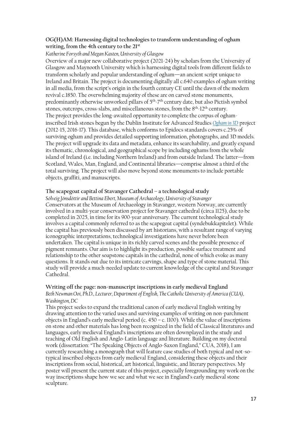## **OG(H)AM: Harnessing digital technologies to transform understanding of ogham writing, from the 4th century to the 21st**

## *Katherine Forsyth and Megan Kasten, University of Glasgow*

Overview of a major new collaborative project (2021-24) by scholars from the University of Glasgow and Maynooth University which is harnessing digital tools from different fields to transform scholarly and popular understanding of ogham—an ancient script unique to Ireland and Britain. The project is documenting digitally all c.640 examples of ogham writing in all media, from the script's origin in the fourth century CE until the dawn of the modern revival c.1850. The overwhelming majority of these are on carved stone monuments, predominantly otherwise unworked pillars of 5th-7 th century date, but also Pictish symbol stones, outcrops, cross-slabs, and miscellaneous stones, from the 8th-12th century. The project provides the long-awaited opportunity to complete the corpus of oghaminscribed Irish stones begun by the Dublin Institute for Advanced Studies *[Ogham in 3D](https://ogham.celt.dias.ie/menu.php?lang=en)* project (2012-15, 2016-17). This database, which conforms to Epidocs standards covers c.25% of surviving ogham and provides detailed supporting information, photographs, and 3D models. The project will upgrade its data and metadata, enhance its searchability, and greatly expand its thematic, chronological, and geographical scope by including oghams from the whole island of Ireland (i.e. including Northern Ireland) and from outside Ireland. The latter—from Scotland, Wales, Man, England, and Continental libraries—comprise almost a third of the total surviving. The project will also move beyond stone monuments to include portable objects, graffiti, and manuscripts.

## **The scapegoat capital of Stavanger Cathedral – a technological study**

*Sólveig Jónsdóttir and Bettina Ebert, Museum of Archaeology, University of Stavanger* Conservators at the Museum of Archaeology in Stavanger, western Norway, are currently involved in a multi-year conservation project for Stavanger cathedral (circa 1125), due to be completed in 2025, in time for its 900-year anniversary. The current technological study involves a capital commonly referred to as the scapegoat capital (syndebukkapitelet). While the capital has previously been discussed by art historians, with a resultant range of varying iconographic interpretations, technological investigations have never before been undertaken. The capital is unique in its richly carved scenes and the possible presence of pigment remnants. Our aim is to highlight its production, possible surface treatment and relationship to the other soapstone capitals in the cathedral, none of which evoke as many questions. It stands out due to its intricate carvings, shape and type of stone material. This study will provide a much-needed update to current knowledge of the capital and Stavanger Cathedral.

## **Writing off the page: non-manuscript inscriptions in early medieval England**

*Beth Newman Ooi, Ph.D., Lecturer, Department of English, The Catholic University of America (CUA), Washington, DC*

This project seeks to expand the traditional canon of early medieval English writing by drawing attention to the varied uses and surviving examples of writing on non-parchment objects in England's early medieval period (c.  $450 - c$ . 1100). While the value of inscriptions on stone and other materials has long been recognized in the field of Classical literatures and languages, early medieval England's inscriptions are often downplayed in the study and teaching of Old English and Anglo-Latin language and literature. Building on my doctoral work (dissertation: "The Speaking Objects of Anglo-Saxon England," CUA, 2018), I am currently researching a monograph that will feature case studies of both typical and not-sotypical inscribed objects from early medieval England, considering these objects and their inscriptions from social, historical, art historical, linguistic, and literary perspectives. My poster will present the current state of this project, especially foregrounding my work on the way inscriptions shape how we see and what we see in England's early medieval stone sculpture.